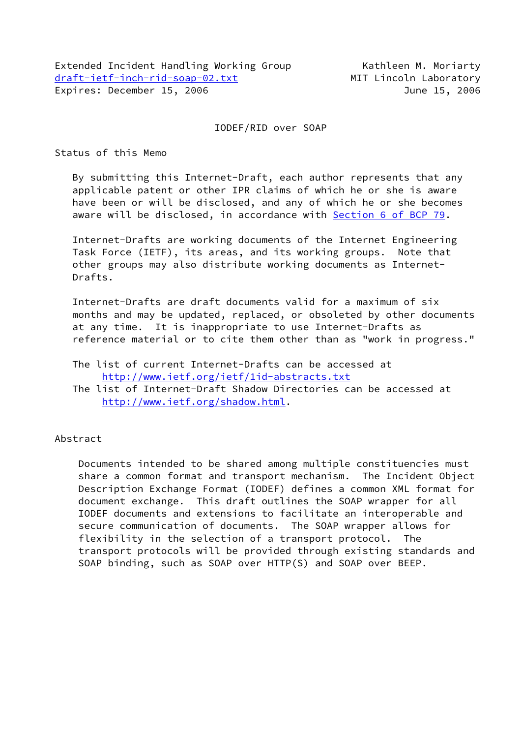## IODEF/RID over SOAP

Status of this Memo

 By submitting this Internet-Draft, each author represents that any applicable patent or other IPR claims of which he or she is aware have been or will be disclosed, and any of which he or she becomes aware will be disclosed, in accordance with Section [6 of BCP 79.](https://datatracker.ietf.org/doc/pdf/bcp79#section-6)

 Internet-Drafts are working documents of the Internet Engineering Task Force (IETF), its areas, and its working groups. Note that other groups may also distribute working documents as Internet- Drafts.

 Internet-Drafts are draft documents valid for a maximum of six months and may be updated, replaced, or obsoleted by other documents at any time. It is inappropriate to use Internet-Drafts as reference material or to cite them other than as "work in progress."

 The list of current Internet-Drafts can be accessed at <http://www.ietf.org/ietf/1id-abstracts.txt>

 The list of Internet-Draft Shadow Directories can be accessed at <http://www.ietf.org/shadow.html>.

Abstract

 Documents intended to be shared among multiple constituencies must share a common format and transport mechanism. The Incident Object Description Exchange Format (IODEF) defines a common XML format for document exchange. This draft outlines the SOAP wrapper for all IODEF documents and extensions to facilitate an interoperable and secure communication of documents. The SOAP wrapper allows for flexibility in the selection of a transport protocol. The transport protocols will be provided through existing standards and SOAP binding, such as SOAP over HTTP(S) and SOAP over BEEP.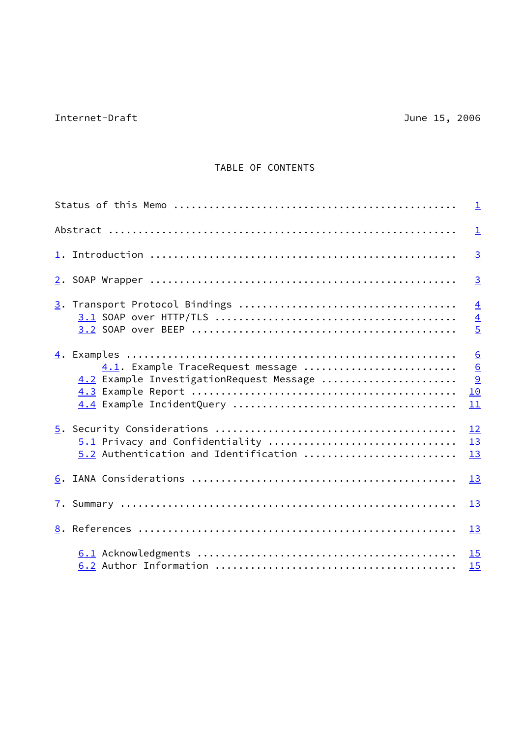# TABLE OF CONTENTS

|                                                                               | $\perp$                                                          |
|-------------------------------------------------------------------------------|------------------------------------------------------------------|
|                                                                               | $\overline{3}$                                                   |
|                                                                               | $\overline{3}$                                                   |
|                                                                               | $\overline{4}$<br>$\overline{4}$<br>$\overline{5}$               |
| 4.1. Example TraceRequest message<br>4.2 Example InvestigationRequest Message | $\underline{6}$<br>$\underline{6}$<br>$\overline{9}$<br>10<br>11 |
| 5.1 Privacy and Confidentiality<br>5.2 Authentication and Identification      | 12<br>13<br>13                                                   |
|                                                                               | 13                                                               |
|                                                                               | 13                                                               |
|                                                                               | 13                                                               |
|                                                                               | 15<br>15                                                         |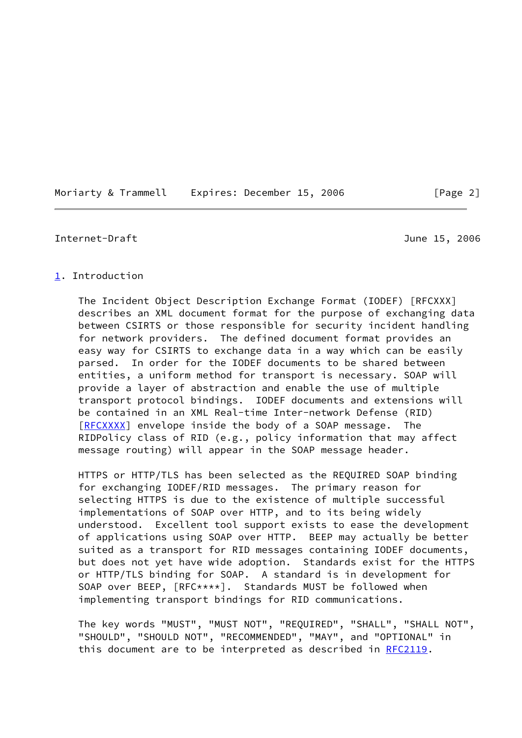### <span id="page-2-1"></span><span id="page-2-0"></span>[1](#page-2-0). Introduction

 The Incident Object Description Exchange Format (IODEF) [RFCXXX] describes an XML document format for the purpose of exchanging data between CSIRTS or those responsible for security incident handling for network providers. The defined document format provides an easy way for CSIRTS to exchange data in a way which can be easily parsed. In order for the IODEF documents to be shared between entities, a uniform method for transport is necessary. SOAP will provide a layer of abstraction and enable the use of multiple transport protocol bindings. IODEF documents and extensions will be contained in an XML Real-time Inter-network Defense (RID) [\[RFCXXXX](#page-16-2)] envelope inside the body of a SOAP message. The RIDPolicy class of RID (e.g., policy information that may affect message routing) will appear in the SOAP message header.

 HTTPS or HTTP/TLS has been selected as the REQUIRED SOAP binding for exchanging IODEF/RID messages. The primary reason for selecting HTTPS is due to the existence of multiple successful implementations of SOAP over HTTP, and to its being widely understood. Excellent tool support exists to ease the development of applications using SOAP over HTTP. BEEP may actually be better suited as a transport for RID messages containing IODEF documents, but does not yet have wide adoption. Standards exist for the HTTPS or HTTP/TLS binding for SOAP. A standard is in development for SOAP over BEEP, [RFC\*\*\*\*]. Standards MUST be followed when implementing transport bindings for RID communications.

 The key words "MUST", "MUST NOT", "REQUIRED", "SHALL", "SHALL NOT", "SHOULD", "SHOULD NOT", "RECOMMENDED", "MAY", and "OPTIONAL" in this document are to be interpreted as described in [RFC2119](https://datatracker.ietf.org/doc/pdf/rfc2119).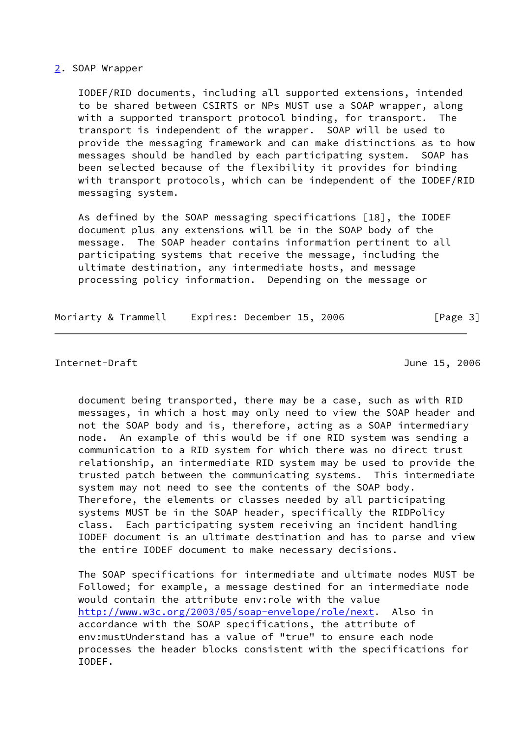#### <span id="page-3-0"></span>[2](#page-3-0). SOAP Wrapper

 IODEF/RID documents, including all supported extensions, intended to be shared between CSIRTS or NPs MUST use a SOAP wrapper, along with a supported transport protocol binding, for transport. The transport is independent of the wrapper. SOAP will be used to provide the messaging framework and can make distinctions as to how messages should be handled by each participating system. SOAP has been selected because of the flexibility it provides for binding with transport protocols, which can be independent of the IODEF/RID messaging system.

 As defined by the SOAP messaging specifications [18], the IODEF document plus any extensions will be in the SOAP body of the message. The SOAP header contains information pertinent to all participating systems that receive the message, including the ultimate destination, any intermediate hosts, and message processing policy information. Depending on the message or

Moriarty & Trammell Expires: December 15, 2006 [Page 3]

#### <span id="page-3-1"></span>Internet-Draft June 15, 2006

 document being transported, there may be a case, such as with RID messages, in which a host may only need to view the SOAP header and not the SOAP body and is, therefore, acting as a SOAP intermediary node. An example of this would be if one RID system was sending a communication to a RID system for which there was no direct trust relationship, an intermediate RID system may be used to provide the trusted patch between the communicating systems. This intermediate system may not need to see the contents of the SOAP body. Therefore, the elements or classes needed by all participating systems MUST be in the SOAP header, specifically the RIDPolicy class. Each participating system receiving an incident handling IODEF document is an ultimate destination and has to parse and view the entire IODEF document to make necessary decisions.

 The SOAP specifications for intermediate and ultimate nodes MUST be Followed; for example, a message destined for an intermediate node would contain the attribute env:role with the value [http://www.w3c.org/2003/05/soap-envelope/role/next.](http://www.w3c.org/2003/05/soap-envelope/role/next) Also in accordance with the SOAP specifications, the attribute of env:mustUnderstand has a value of "true" to ensure each node processes the header blocks consistent with the specifications for IODEF.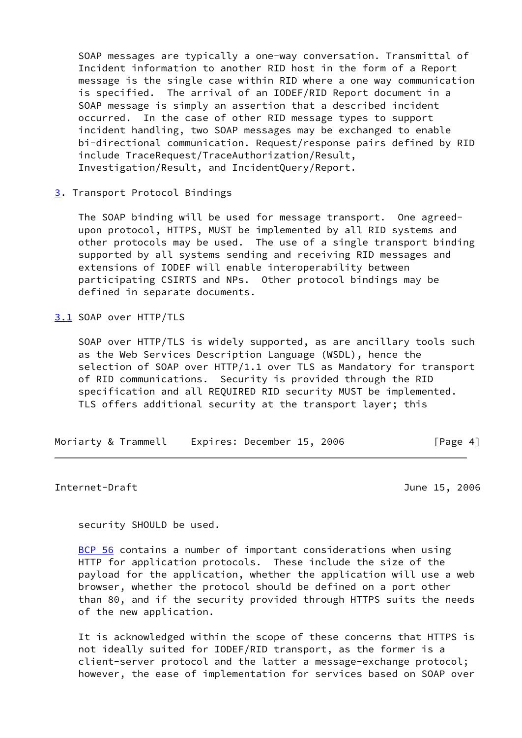SOAP messages are typically a one-way conversation. Transmittal of Incident information to another RID host in the form of a Report message is the single case within RID where a one way communication is specified. The arrival of an IODEF/RID Report document in a SOAP message is simply an assertion that a described incident occurred. In the case of other RID message types to support incident handling, two SOAP messages may be exchanged to enable bi-directional communication. Request/response pairs defined by RID include TraceRequest/TraceAuthorization/Result, Investigation/Result, and IncidentQuery/Report.

<span id="page-4-0"></span>[3](#page-4-0). Transport Protocol Bindings

 The SOAP binding will be used for message transport. One agreed upon protocol, HTTPS, MUST be implemented by all RID systems and other protocols may be used. The use of a single transport binding supported by all systems sending and receiving RID messages and extensions of IODEF will enable interoperability between participating CSIRTS and NPs. Other protocol bindings may be defined in separate documents.

<span id="page-4-1"></span>[3.1](#page-4-1) SOAP over HTTP/TLS

 SOAP over HTTP/TLS is widely supported, as are ancillary tools such as the Web Services Description Language (WSDL), hence the selection of SOAP over HTTP/1.1 over TLS as Mandatory for transport of RID communications. Security is provided through the RID specification and all REQUIRED RID security MUST be implemented. TLS offers additional security at the transport layer; this

| Moriarty & Trammell | Expires: December 15, 2006 | [Page 4] |
|---------------------|----------------------------|----------|
|---------------------|----------------------------|----------|

<span id="page-4-2"></span>Internet-Draft June 15, 2006

security SHOULD be used.

[BCP 56](https://datatracker.ietf.org/doc/pdf/bcp56) contains a number of important considerations when using HTTP for application protocols. These include the size of the payload for the application, whether the application will use a web browser, whether the protocol should be defined on a port other than 80, and if the security provided through HTTPS suits the needs of the new application.

 It is acknowledged within the scope of these concerns that HTTPS is not ideally suited for IODEF/RID transport, as the former is a client-server protocol and the latter a message-exchange protocol; however, the ease of implementation for services based on SOAP over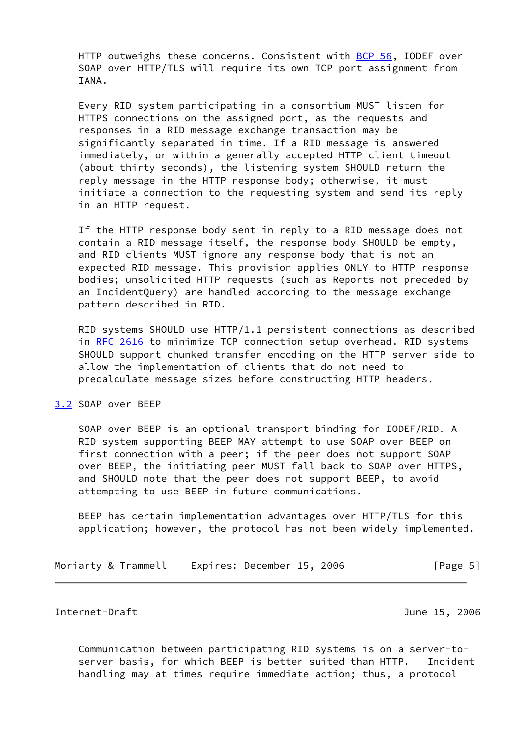HTTP outweighs these concerns. Consistent with [BCP 56](https://datatracker.ietf.org/doc/pdf/bcp56), IODEF over SOAP over HTTP/TLS will require its own TCP port assignment from IANA.

 Every RID system participating in a consortium MUST listen for HTTPS connections on the assigned port, as the requests and responses in a RID message exchange transaction may be significantly separated in time. If a RID message is answered immediately, or within a generally accepted HTTP client timeout (about thirty seconds), the listening system SHOULD return the reply message in the HTTP response body; otherwise, it must initiate a connection to the requesting system and send its reply in an HTTP request.

 If the HTTP response body sent in reply to a RID message does not contain a RID message itself, the response body SHOULD be empty, and RID clients MUST ignore any response body that is not an expected RID message. This provision applies ONLY to HTTP response bodies; unsolicited HTTP requests (such as Reports not preceded by an IncidentQuery) are handled according to the message exchange pattern described in RID.

 RID systems SHOULD use HTTP/1.1 persistent connections as described in [RFC 2616](https://datatracker.ietf.org/doc/pdf/rfc2616) to minimize TCP connection setup overhead. RID systems SHOULD support chunked transfer encoding on the HTTP server side to allow the implementation of clients that do not need to precalculate message sizes before constructing HTTP headers.

## <span id="page-5-0"></span>[3.2](#page-5-0) SOAP over BEEP

 SOAP over BEEP is an optional transport binding for IODEF/RID. A RID system supporting BEEP MAY attempt to use SOAP over BEEP on first connection with a peer; if the peer does not support SOAP over BEEP, the initiating peer MUST fall back to SOAP over HTTPS, and SHOULD note that the peer does not support BEEP, to avoid attempting to use BEEP in future communications.

 BEEP has certain implementation advantages over HTTP/TLS for this application; however, the protocol has not been widely implemented.

Moriarty & Trammell Expires: December 15, 2006 [Page 5]

<span id="page-5-1"></span>Internet-Draft June 15, 2006

 Communication between participating RID systems is on a server-to server basis, for which BEEP is better suited than HTTP. Incident handling may at times require immediate action; thus, a protocol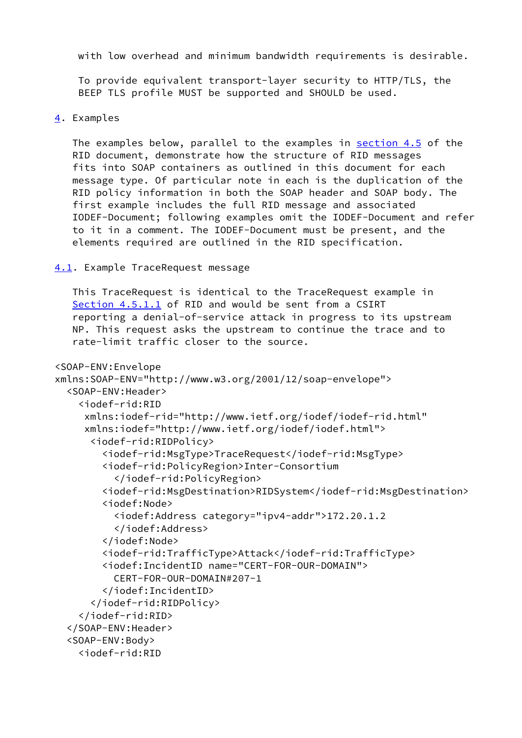with low overhead and minimum bandwidth requirements is desirable.

 To provide equivalent transport-layer security to HTTP/TLS, the BEEP TLS profile MUST be supported and SHOULD be used.

```
4. Examples
```
 The examples below, parallel to the examples in section 4.5 of the RID document, demonstrate how the structure of RID messages fits into SOAP containers as outlined in this document for each message type. Of particular note in each is the duplication of the RID policy information in both the SOAP header and SOAP body. The first example includes the full RID message and associated IODEF-Document; following examples omit the IODEF-Document and refer to it in a comment. The IODEF-Document must be present, and the elements required are outlined in the RID specification.

<span id="page-6-1"></span>[4.1](#page-6-1). Example TraceRequest message

 This TraceRequest is identical to the TraceRequest example in Section 4.5.1.1 of RID and would be sent from a CSIRT reporting a denial-of-service attack in progress to its upstream NP. This request asks the upstream to continue the trace and to rate-limit traffic closer to the source.

```
<SOAP-ENV:Envelope
xmlns:SOAP-ENV="http://www.w3.org/2001/12/soap-envelope">
   <SOAP-ENV:Header>
     <iodef-rid:RID
      xmlns:iodef-rid="http://www.ietf.org/iodef/iodef-rid.html"
      xmlns:iodef="http://www.ietf.org/iodef/iodef.html">
       <iodef-rid:RIDPolicy>
         <iodef-rid:MsgType>TraceRequest</iodef-rid:MsgType>
         <iodef-rid:PolicyRegion>Inter-Consortium
           </iodef-rid:PolicyRegion>
         <iodef-rid:MsgDestination>RIDSystem</iodef-rid:MsgDestination>
         <iodef:Node>
           <iodef:Address category="ipv4-addr">172.20.1.2
           </iodef:Address>
         </iodef:Node>
         <iodef-rid:TrafficType>Attack</iodef-rid:TrafficType>
         <iodef:IncidentID name="CERT-FOR-OUR-DOMAIN">
           CERT-FOR-OUR-DOMAIN#207-1
         </iodef:IncidentID>
       </iodef-rid:RIDPolicy>
     </iodef-rid:RID>
   </SOAP-ENV:Header>
   <SOAP-ENV:Body>
     <iodef-rid:RID
```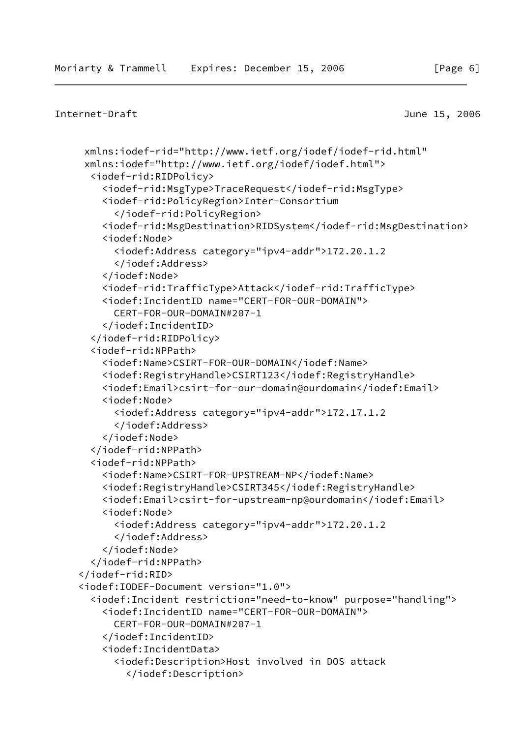```
Internet-Draft June 15, 2006
```

```
 xmlns:iodef-rid="http://www.ietf.org/iodef/iodef-rid.html"
 xmlns:iodef="http://www.ietf.org/iodef/iodef.html">
   <iodef-rid:RIDPolicy>
     <iodef-rid:MsgType>TraceRequest</iodef-rid:MsgType>
     <iodef-rid:PolicyRegion>Inter-Consortium
       </iodef-rid:PolicyRegion>
     <iodef-rid:MsgDestination>RIDSystem</iodef-rid:MsgDestination>
     <iodef:Node>
       <iodef:Address category="ipv4-addr">172.20.1.2
       </iodef:Address>
     </iodef:Node>
     <iodef-rid:TrafficType>Attack</iodef-rid:TrafficType>
     <iodef:IncidentID name="CERT-FOR-OUR-DOMAIN">
       CERT-FOR-OUR-DOMAIN#207-1
     </iodef:IncidentID>
   </iodef-rid:RIDPolicy>
   <iodef-rid:NPPath>
     <iodef:Name>CSIRT-FOR-OUR-DOMAIN</iodef:Name>
     <iodef:RegistryHandle>CSIRT123</iodef:RegistryHandle>
     <iodef:Email>csirt-for-our-domain@ourdomain</iodef:Email>
     <iodef:Node>
       <iodef:Address category="ipv4-addr">172.17.1.2
       </iodef:Address>
     </iodef:Node>
   </iodef-rid:NPPath>
   <iodef-rid:NPPath>
     <iodef:Name>CSIRT-FOR-UPSTREAM-NP</iodef:Name>
     <iodef:RegistryHandle>CSIRT345</iodef:RegistryHandle>
     <iodef:Email>csirt-for-upstream-np@ourdomain</iodef:Email>
     <iodef:Node>
       <iodef:Address category="ipv4-addr">172.20.1.2
       </iodef:Address>
     </iodef:Node>
   </iodef-rid:NPPath>
 </iodef-rid:RID>
 <iodef:IODEF-Document version="1.0">
   <iodef:Incident restriction="need-to-know" purpose="handling">
     <iodef:IncidentID name="CERT-FOR-OUR-DOMAIN">
       CERT-FOR-OUR-DOMAIN#207-1
     </iodef:IncidentID>
     <iodef:IncidentData>
       <iodef:Description>Host involved in DOS attack
         </iodef:Description>
```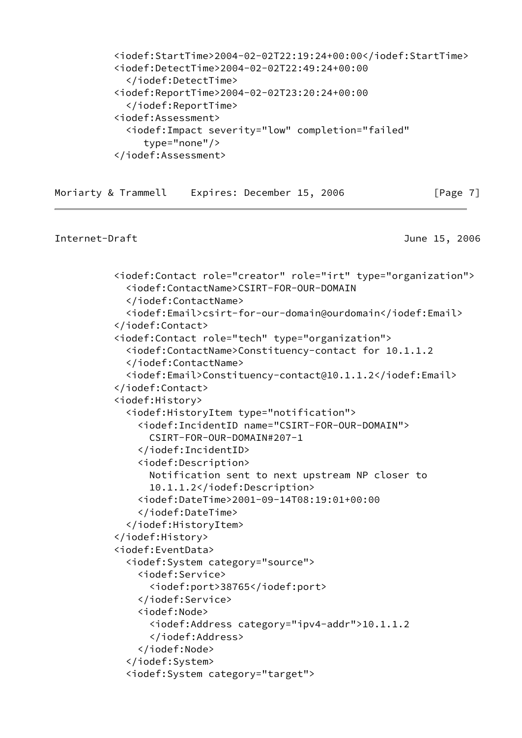```
 <iodef:StartTime>2004-02-02T22:19:24+00:00</iodef:StartTime>
 <iodef:DetectTime>2004-02-02T22:49:24+00:00
   </iodef:DetectTime>
 <iodef:ReportTime>2004-02-02T23:20:24+00:00
   </iodef:ReportTime>
 <iodef:Assessment>
   <iodef:Impact severity="low" completion="failed"
      type="none"/>
 </iodef:Assessment>
```

```
[Page 7]
```

```
 <iodef:Contact role="creator" role="irt" type="organization">
   <iodef:ContactName>CSIRT-FOR-OUR-DOMAIN
   </iodef:ContactName>
   <iodef:Email>csirt-for-our-domain@ourdomain</iodef:Email>
 </iodef:Contact>
 <iodef:Contact role="tech" type="organization">
   <iodef:ContactName>Constituency-contact for 10.1.1.2
   </iodef:ContactName>
   <iodef:Email>Constituency-contact@10.1.1.2</iodef:Email>
 </iodef:Contact>
 <iodef:History>
   <iodef:HistoryItem type="notification">
     <iodef:IncidentID name="CSIRT-FOR-OUR-DOMAIN">
       CSIRT-FOR-OUR-DOMAIN#207-1
     </iodef:IncidentID>
     <iodef:Description>
       Notification sent to next upstream NP closer to
       10.1.1.2</iodef:Description>
     <iodef:DateTime>2001-09-14T08:19:01+00:00
     </iodef:DateTime>
   </iodef:HistoryItem>
 </iodef:History>
 <iodef:EventData>
   <iodef:System category="source">
     <iodef:Service>
       <iodef:port>38765</iodef:port>
     </iodef:Service>
     <iodef:Node>
       <iodef:Address category="ipv4-addr">10.1.1.2
       </iodef:Address>
     </iodef:Node>
   </iodef:System>
   <iodef:System category="target">
```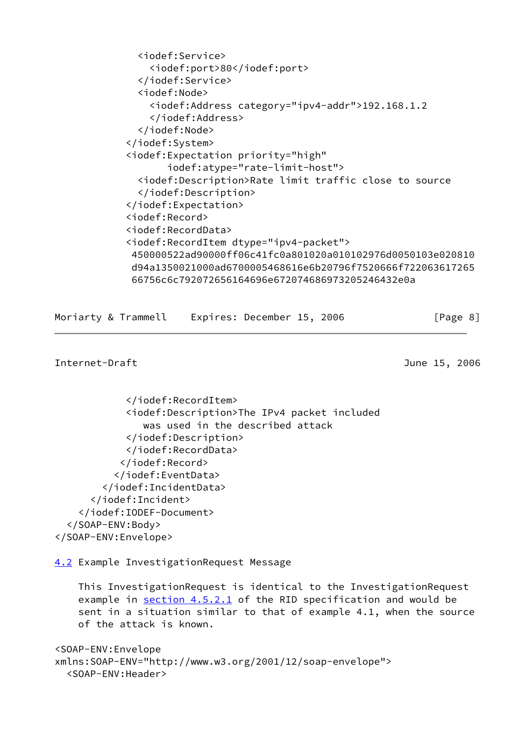```
 <iodef:Service>
     <iodef:port>80</iodef:port>
   </iodef:Service>
   <iodef:Node>
     <iodef:Address category="ipv4-addr">192.168.1.2
     </iodef:Address>
   </iodef:Node>
 </iodef:System>
 <iodef:Expectation priority="high"
        iodef:atype="rate-limit-host">
   <iodef:Description>Rate limit traffic close to source
   </iodef:Description>
 </iodef:Expectation>
 <iodef:Record>
 <iodef:RecordData>
 <iodef:RecordItem dtype="ipv4-packet">
 450000522ad90000ff06c41fc0a801020a010102976d0050103e020810
 d94a1350021000ad6700005468616e6b20796f7520666f722063617265
  66756c6c792072656164696e672074686973205246432e0a
```

| Moriarty & Trammell | Expires: December 15, 2006 | [Page 8] |
|---------------------|----------------------------|----------|
|---------------------|----------------------------|----------|

```
Internet-Draft June 15, 2006
```

```
 </iodef:RecordItem>
             <iodef:Description>The IPv4 packet included
                was used in the described attack
             </iodef:Description>
             </iodef:RecordData>
            </iodef:Record>
           </iodef:EventData>
         </iodef:IncidentData>
       </iodef:Incident>
     </iodef:IODEF-Document>
   </SOAP-ENV:Body>
</SOAP-ENV:Envelope>
```
<span id="page-9-0"></span>[4.2](#page-9-0) Example InvestigationRequest Message

```
 This InvestigationRequest is identical to the InvestigationRequest
example in section 4.5.2.1 of the RID specification and would be
 sent in a situation similar to that of example 4.1, when the source
 of the attack is known.
```

```
<SOAP-ENV:Envelope
xmlns:SOAP-ENV="http://www.w3.org/2001/12/soap-envelope">
   <SOAP-ENV:Header>
```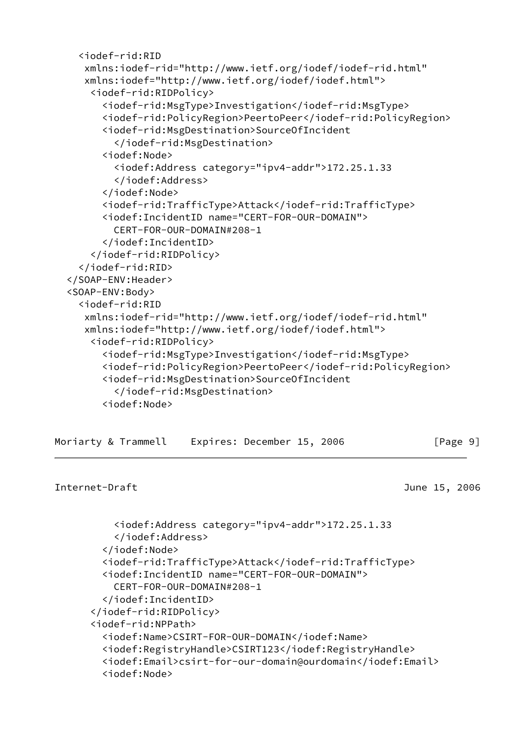```
 <iodef-rid:RID
    xmlns:iodef-rid="http://www.ietf.org/iodef/iodef-rid.html"
    xmlns:iodef="http://www.ietf.org/iodef/iodef.html">
     <iodef-rid:RIDPolicy>
       <iodef-rid:MsgType>Investigation</iodef-rid:MsgType>
       <iodef-rid:PolicyRegion>PeertoPeer</iodef-rid:PolicyRegion>
       <iodef-rid:MsgDestination>SourceOfIncident
         </iodef-rid:MsgDestination>
       <iodef:Node>
         <iodef:Address category="ipv4-addr">172.25.1.33
         </iodef:Address>
       </iodef:Node>
       <iodef-rid:TrafficType>Attack</iodef-rid:TrafficType>
       <iodef:IncidentID name="CERT-FOR-OUR-DOMAIN">
         CERT-FOR-OUR-DOMAIN#208-1
       </iodef:IncidentID>
     </iodef-rid:RIDPolicy>
   </iodef-rid:RID>
 </SOAP-ENV:Header>
 <SOAP-ENV:Body>
   <iodef-rid:RID
    xmlns:iodef-rid="http://www.ietf.org/iodef/iodef-rid.html"
    xmlns:iodef="http://www.ietf.org/iodef/iodef.html">
     <iodef-rid:RIDPolicy>
       <iodef-rid:MsgType>Investigation</iodef-rid:MsgType>
       <iodef-rid:PolicyRegion>PeertoPeer</iodef-rid:PolicyRegion>
       <iodef-rid:MsgDestination>SourceOfIncident
         </iodef-rid:MsgDestination>
       <iodef:Node>
```

| Moriarty & Trammell | Expires: December 15, 2006 | [Page 9] |
|---------------------|----------------------------|----------|
|---------------------|----------------------------|----------|

```
Internet-Draft June 15, 2006
```

```
 <iodef:Address category="ipv4-addr">172.25.1.33
     </iodef:Address>
   </iodef:Node>
   <iodef-rid:TrafficType>Attack</iodef-rid:TrafficType>
   <iodef:IncidentID name="CERT-FOR-OUR-DOMAIN">
     CERT-FOR-OUR-DOMAIN#208-1
   </iodef:IncidentID>
 </iodef-rid:RIDPolicy>
 <iodef-rid:NPPath>
   <iodef:Name>CSIRT-FOR-OUR-DOMAIN</iodef:Name>
   <iodef:RegistryHandle>CSIRT123</iodef:RegistryHandle>
   <iodef:Email>csirt-for-our-domain@ourdomain</iodef:Email>
   <iodef:Node>
```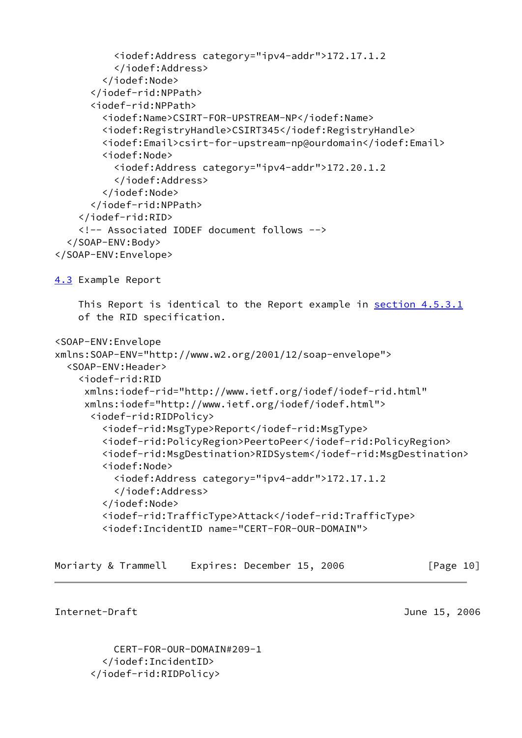```
 <iodef:Address category="ipv4-addr">172.17.1.2
           </iodef:Address>
         </iodef:Node>
       </iodef-rid:NPPath>
       <iodef-rid:NPPath>
         <iodef:Name>CSIRT-FOR-UPSTREAM-NP</iodef:Name>
         <iodef:RegistryHandle>CSIRT345</iodef:RegistryHandle>
         <iodef:Email>csirt-for-upstream-np@ourdomain</iodef:Email>
         <iodef:Node>
           <iodef:Address category="ipv4-addr">172.20.1.2
           </iodef:Address>
         </iodef:Node>
       </iodef-rid:NPPath>
     </iodef-rid:RID>
     <!-- Associated IODEF document follows -->
   </SOAP-ENV:Body>
</SOAP-ENV:Envelope>
4.3 Example Report
     This Report is identical to the Report example in section 4.5.3.1
     of the RID specification.
<SOAP-ENV:Envelope
xmlns:SOAP-ENV="http://www.w2.org/2001/12/soap-envelope">
   <SOAP-ENV:Header>
     <iodef-rid:RID
      xmlns:iodef-rid="http://www.ietf.org/iodef/iodef-rid.html"
      xmlns:iodef="http://www.ietf.org/iodef/iodef.html">
       <iodef-rid:RIDPolicy>
         <iodef-rid:MsgType>Report</iodef-rid:MsgType>
         <iodef-rid:PolicyRegion>PeertoPeer</iodef-rid:PolicyRegion>
         <iodef-rid:MsgDestination>RIDSystem</iodef-rid:MsgDestination>
         <iodef:Node>
           <iodef:Address category="ipv4-addr">172.17.1.2
           </iodef:Address>
         </iodef:Node>
         <iodef-rid:TrafficType>Attack</iodef-rid:TrafficType>
         <iodef:IncidentID name="CERT-FOR-OUR-DOMAIN">
```

```
Moriarty & Trammell Expires: December 15, 2006 [Page 10]
```
 CERT-FOR-OUR-DOMAIN#209-1 </iodef:IncidentID> </iodef-rid:RIDPolicy>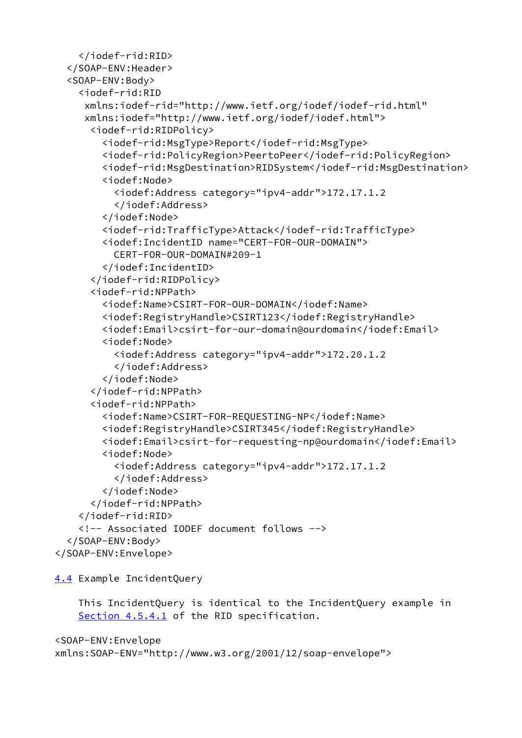```
 </iodef-rid:RID>
  </SOAP-ENV:Header>
  <SOAP-ENV:Body>
     <iodef-rid:RID
      xmlns:iodef-rid="http://www.ietf.org/iodef/iodef-rid.html"
      xmlns:iodef="http://www.ietf.org/iodef/iodef.html">
       <iodef-rid:RIDPolicy>
         <iodef-rid:MsgType>Report</iodef-rid:MsgType>
         <iodef-rid:PolicyRegion>PeertoPeer</iodef-rid:PolicyRegion>
         <iodef-rid:MsgDestination>RIDSystem</iodef-rid:MsgDestination>
         <iodef:Node>
           <iodef:Address category="ipv4-addr">172.17.1.2
           </iodef:Address>
         </iodef:Node>
         <iodef-rid:TrafficType>Attack</iodef-rid:TrafficType>
         <iodef:IncidentID name="CERT-FOR-OUR-DOMAIN">
           CERT-FOR-OUR-DOMAIN#209-1
         </iodef:IncidentID>
       </iodef-rid:RIDPolicy>
       <iodef-rid:NPPath>
         <iodef:Name>CSIRT-FOR-OUR-DOMAIN</iodef:Name>
         <iodef:RegistryHandle>CSIRT123</iodef:RegistryHandle>
         <iodef:Email>csirt-for-our-domain@ourdomain</iodef:Email>
         <iodef:Node>
           <iodef:Address category="ipv4-addr">172.20.1.2
           </iodef:Address>
         </iodef:Node>
       </iodef-rid:NPPath>
       <iodef-rid:NPPath>
         <iodef:Name>CSIRT-FOR-REQUESTING-NP</iodef:Name>
         <iodef:RegistryHandle>CSIRT345</iodef:RegistryHandle>
         <iodef:Email>csirt-for-requesting-np@ourdomain</iodef:Email>
         <iodef:Node>
           <iodef:Address category="ipv4-addr">172.17.1.2
           </iodef:Address>
         </iodef:Node>
       </iodef-rid:NPPath>
     </iodef-rid:RID>
     <!-- Associated IODEF document follows -->
   </SOAP-ENV:Body>
</SOAP-ENV:Envelope>
```
<span id="page-12-0"></span>[4.4](#page-12-0) Example IncidentQuery

 This IncidentQuery is identical to the IncidentQuery example in Section 4.5.4.1 of the RID specification.

```
<SOAP-ENV:Envelope
xmlns:SOAP-ENV="http://www.w3.org/2001/12/soap-envelope">
```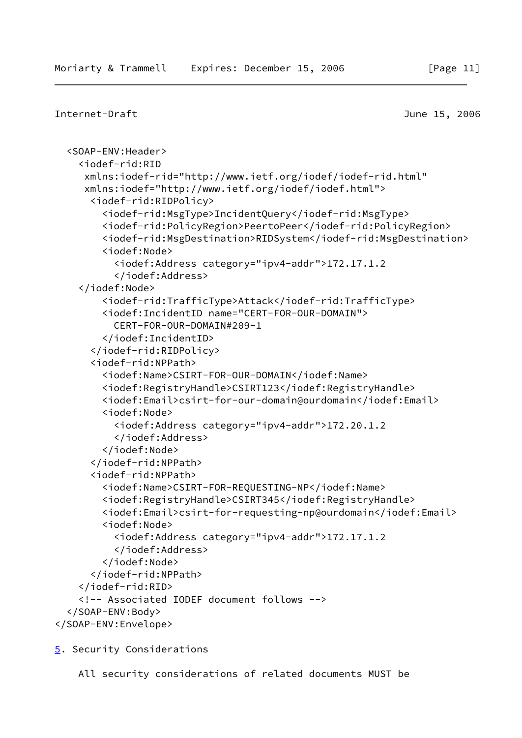```
Internet-Draft June 15, 2006
   <SOAP-ENV:Header>
     <iodef-rid:RID
     xmlns:iodef-rid="http://www.ietf.org/iodef/iodef-rid.html"
      xmlns:iodef="http://www.ietf.org/iodef/iodef.html">
       <iodef-rid:RIDPolicy>
         <iodef-rid:MsgType>IncidentQuery</iodef-rid:MsgType>
         <iodef-rid:PolicyRegion>PeertoPeer</iodef-rid:PolicyRegion>
         <iodef-rid:MsgDestination>RIDSystem</iodef-rid:MsgDestination>
         <iodef:Node>
           <iodef:Address category="ipv4-addr">172.17.1.2
           </iodef:Address>
     </iodef:Node>
         <iodef-rid:TrafficType>Attack</iodef-rid:TrafficType>
         <iodef:IncidentID name="CERT-FOR-OUR-DOMAIN">
           CERT-FOR-OUR-DOMAIN#209-1
         </iodef:IncidentID>
       </iodef-rid:RIDPolicy>
       <iodef-rid:NPPath>
         <iodef:Name>CSIRT-FOR-OUR-DOMAIN</iodef:Name>
         <iodef:RegistryHandle>CSIRT123</iodef:RegistryHandle>
         <iodef:Email>csirt-for-our-domain@ourdomain</iodef:Email>
         <iodef:Node>
           <iodef:Address category="ipv4-addr">172.20.1.2
           </iodef:Address>
         </iodef:Node>
       </iodef-rid:NPPath>
       <iodef-rid:NPPath>
         <iodef:Name>CSIRT-FOR-REQUESTING-NP</iodef:Name>
         <iodef:RegistryHandle>CSIRT345</iodef:RegistryHandle>
         <iodef:Email>csirt-for-requesting-np@ourdomain</iodef:Email>
         <iodef:Node>
           <iodef:Address category="ipv4-addr">172.17.1.2
           </iodef:Address>
         </iodef:Node>
       </iodef-rid:NPPath>
     </iodef-rid:RID>
     <!-- Associated IODEF document follows -->
   </SOAP-ENV:Body>
</SOAP-ENV:Envelope>
```
<span id="page-13-0"></span>[5](#page-13-0). Security Considerations

All security considerations of related documents MUST be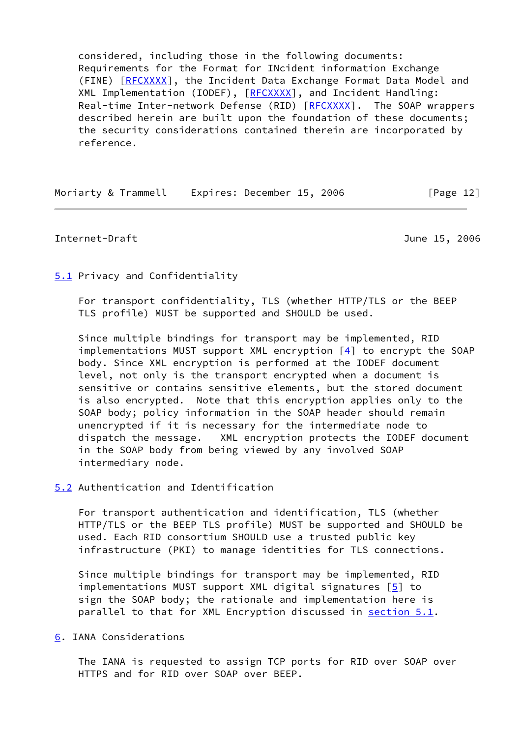considered, including those in the following documents: Requirements for the Format for INcident information Exchange (FINE) [\[RFCXXXX](#page-16-2)], the Incident Data Exchange Format Data Model and XML Implementation (IODEF), [\[RFCXXXX](#page-16-2)], and Incident Handling: Real-time Inter-network Defense (RID) [\[RFCXXXX](#page-16-2)]. The SOAP wrappers described herein are built upon the foundation of these documents; the security considerations contained therein are incorporated by reference.

Moriarty & Trammell Expires: December 15, 2006 [Page 12]

#### <span id="page-14-1"></span>Internet-Draft June 15, 2006

### <span id="page-14-0"></span>[5.1](#page-14-0) Privacy and Confidentiality

 For transport confidentiality, TLS (whether HTTP/TLS or the BEEP TLS profile) MUST be supported and SHOULD be used.

 Since multiple bindings for transport may be implemented, RID implementations MUST support XML encryption  $[4]$  to encrypt the SOAP body. Since XML encryption is performed at the IODEF document level, not only is the transport encrypted when a document is sensitive or contains sensitive elements, but the stored document is also encrypted. Note that this encryption applies only to the SOAP body; policy information in the SOAP header should remain unencrypted if it is necessary for the intermediate node to dispatch the message. XML encryption protects the IODEF document in the SOAP body from being viewed by any involved SOAP intermediary node.

## <span id="page-14-2"></span>[5.2](#page-14-2) Authentication and Identification

 For transport authentication and identification, TLS (whether HTTP/TLS or the BEEP TLS profile) MUST be supported and SHOULD be used. Each RID consortium SHOULD use a trusted public key infrastructure (PKI) to manage identities for TLS connections.

 Since multiple bindings for transport may be implemented, RID implementations MUST support XML digital signatures [\[5\]](#page-16-4) to sign the SOAP body; the rationale and implementation here is parallel to that for XML Encryption discussed in [section 5.1](#page-14-0).

### <span id="page-14-3"></span>[6](#page-14-3). IANA Considerations

 The IANA is requested to assign TCP ports for RID over SOAP over HTTPS and for RID over SOAP over BEEP.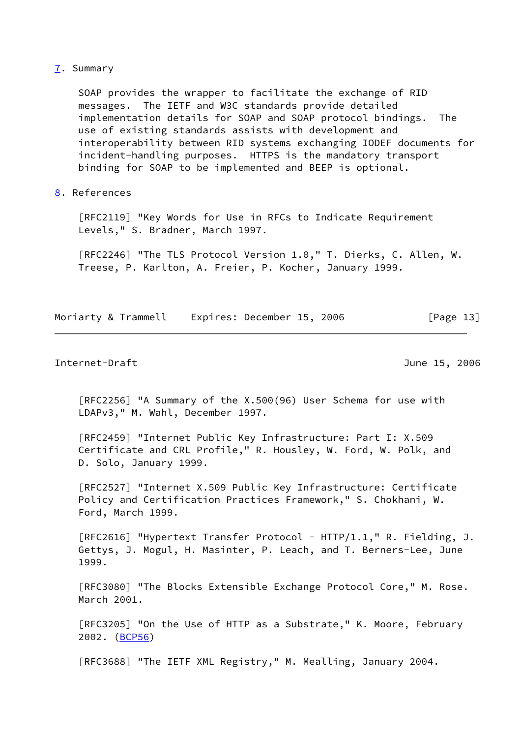#### <span id="page-15-0"></span>[7](#page-15-0). Summary

 SOAP provides the wrapper to facilitate the exchange of RID messages. The IETF and W3C standards provide detailed implementation details for SOAP and SOAP protocol bindings. The use of existing standards assists with development and interoperability between RID systems exchanging IODEF documents for incident-handling purposes. HTTPS is the mandatory transport binding for SOAP to be implemented and BEEP is optional.

# <span id="page-15-1"></span>[8](#page-15-1). References

 [RFC2119] "Key Words for Use in RFCs to Indicate Requirement Levels," S. Bradner, March 1997.

 [RFC2246] "The TLS Protocol Version 1.0," T. Dierks, C. Allen, W. Treese, P. Karlton, A. Freier, P. Kocher, January 1999.

Moriarty & Trammell Expires: December 15, 2006 [Page 13]

Internet-Draft June 15, 2006

 [RFC2256] "A Summary of the X.500(96) User Schema for use with LDAPv3," M. Wahl, December 1997.

 [RFC2459] "Internet Public Key Infrastructure: Part I: X.509 Certificate and CRL Profile," R. Housley, W. Ford, W. Polk, and D. Solo, January 1999.

 [RFC2527] "Internet X.509 Public Key Infrastructure: Certificate Policy and Certification Practices Framework," S. Chokhani, W. Ford, March 1999.

[RFC2616] "Hypertext Transfer Protocol - HTTP/1.1," R. Fielding, J. Gettys, J. Mogul, H. Masinter, P. Leach, and T. Berners-Lee, June 1999.

 [RFC3080] "The Blocks Extensible Exchange Protocol Core," M. Rose. March 2001.

 [RFC3205] "On the Use of HTTP as a Substrate," K. Moore, February 2002. [\(BCP56](https://datatracker.ietf.org/doc/pdf/bcp56))

[RFC3688] "The IETF XML Registry," M. Mealling, January 2004.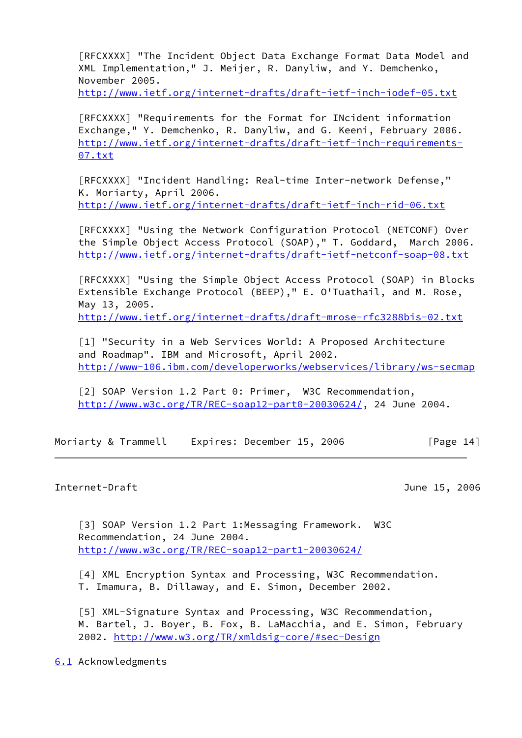<span id="page-16-2"></span> [RFCXXXX] "The Incident Object Data Exchange Format Data Model and XML Implementation," J. Meijer, R. Danyliw, and Y. Demchenko, November 2005.

<http://www.ietf.org/internet-drafts/draft-ietf-inch-iodef-05.txt>

 [RFCXXXX] "Requirements for the Format for INcident information Exchange," Y. Demchenko, R. Danyliw, and G. Keeni, February 2006. [http://www.ietf.org/internet-drafts/draft-ietf-inch-requirements-](http://www.ietf.org/internet-drafts/draft-ietf-inch-requirements-07.txt) [07.txt](http://www.ietf.org/internet-drafts/draft-ietf-inch-requirements-07.txt)

 [RFCXXXX] "Incident Handling: Real-time Inter-network Defense," K. Moriarty, April 2006. <http://www.ietf.org/internet-drafts/draft-ietf-inch-rid-06.txt>

 [RFCXXXX] "Using the Network Configuration Protocol (NETCONF) Over the Simple Object Access Protocol (SOAP)," T. Goddard, March 2006. <http://www.ietf.org/internet-drafts/draft-ietf-netconf-soap-08.txt>

 [RFCXXXX] "Using the Simple Object Access Protocol (SOAP) in Blocks Extensible Exchange Protocol (BEEP)," E. O'Tuathail, and M. Rose, May 13, 2005. <http://www.ietf.org/internet-drafts/draft-mrose-rfc3288bis-02.txt>

 [1] "Security in a Web Services World: A Proposed Architecture and Roadmap". IBM and Microsoft, April 2002. <http://www-106.ibm.com/developerworks/webservices/library/ws-secmap>

 [2] SOAP Version 1.2 Part 0: Primer, W3C Recommendation, <http://www.w3c.org/TR/REC-soap12-part0-20030624/>, 24 June 2004.

Moriarty & Trammell Expires: December 15, 2006 [Page 14]

# <span id="page-16-1"></span>Internet-Draft June 15, 2006

 [3] SOAP Version 1.2 Part 1:Messaging Framework. W3C Recommendation, 24 June 2004. <http://www.w3c.org/TR/REC-soap12-part1-20030624/>

<span id="page-16-3"></span> [4] XML Encryption Syntax and Processing, W3C Recommendation. T. Imamura, B. Dillaway, and E. Simon, December 2002.

<span id="page-16-4"></span> [5] XML-Signature Syntax and Processing, W3C Recommendation, M. Bartel, J. Boyer, B. Fox, B. LaMacchia, and E. Simon, February 2002. <http://www.w3.org/TR/xmldsig-core/#sec-Design>

<span id="page-16-0"></span>[6.1](#page-16-0) Acknowledgments